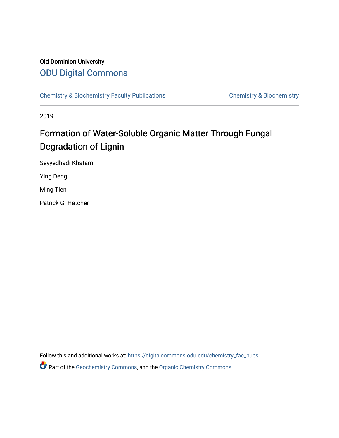### Old Dominion University [ODU Digital Commons](https://digitalcommons.odu.edu/)

[Chemistry & Biochemistry Faculty Publications](https://digitalcommons.odu.edu/chemistry_fac_pubs) **Chemistry & Biochemistry** 

2019

# Formation of Water-Soluble Organic Matter Through Fungal Degradation of Lignin

Seyyedhadi Khatami

Ying Deng

Ming Tien

Patrick G. Hatcher

Follow this and additional works at: [https://digitalcommons.odu.edu/chemistry\\_fac\\_pubs](https://digitalcommons.odu.edu/chemistry_fac_pubs?utm_source=digitalcommons.odu.edu%2Fchemistry_fac_pubs%2F212&utm_medium=PDF&utm_campaign=PDFCoverPages) 

Part of the [Geochemistry Commons,](http://network.bepress.com/hgg/discipline/157?utm_source=digitalcommons.odu.edu%2Fchemistry_fac_pubs%2F212&utm_medium=PDF&utm_campaign=PDFCoverPages) and the [Organic Chemistry Commons](http://network.bepress.com/hgg/discipline/138?utm_source=digitalcommons.odu.edu%2Fchemistry_fac_pubs%2F212&utm_medium=PDF&utm_campaign=PDFCoverPages)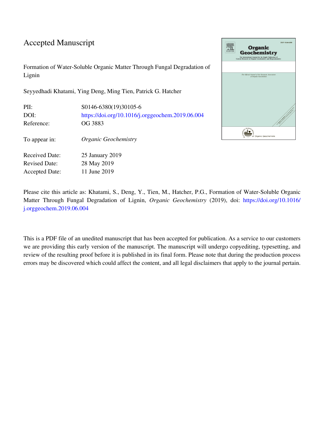#### Accepted Manuscript

Formation of Water-Soluble Organic Matter Through Fungal Degradation of Lignin

Seyyedhadi Khatami, Ying Deng, Ming Tien, Patrick G. Hatcher

| PII:                  | S0146-6380(19)30105-6                            |
|-----------------------|--------------------------------------------------|
| DOI:                  | https://doi.org/10.1016/j.orggeochem.2019.06.004 |
| Reference:            | OG 3883                                          |
| To appear in:         | Organic Geochemistry                             |
| <b>Received Date:</b> | 25 January 2019                                  |
| <b>Revised Date:</b>  | 28 May 2019                                      |
| Accepted Date:        | 11 June 2019                                     |



Please cite this article as: Khatami, S., Deng, Y., Tien, M., Hatcher, P.G., Formation of Water-Soluble Organic Matter Through Fungal Degradation of Lignin, *Organic Geochemistry* (2019), doi: [https://doi.org/10.1016/](https://doi.org/10.1016/j.orggeochem.2019.06.004) [j.orggeochem.2019.06.004](https://doi.org/10.1016/j.orggeochem.2019.06.004)

This is a PDF file of an unedited manuscript that has been accepted for publication. As a service to our customers we are providing this early version of the manuscript. The manuscript will undergo copyediting, typesetting, and review of the resulting proof before it is published in its final form. Please note that during the production process errors may be discovered which could affect the content, and all legal disclaimers that apply to the journal pertain.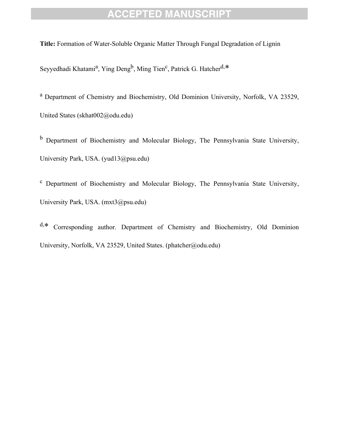**Title:** Formation of Water-Soluble Organic Matter Through Fungal Degradation of Lignin

Seyyedhadi Khatami<sup>a</sup>, Ying Deng<sup>b</sup>, Ming Tien<sup>c</sup>, Patrick G. Hatcher<sup>d,\*</sup>

<sup>a</sup> Department of Chemistry and Biochemistry, Old Dominion University, Norfolk, VA 23529, United States (skhat002@odu.edu)

b Department of Biochemistry and Molecular Biology, The Pennsylvania State University, University Park, USA. (yud13@psu.edu)

c Department of Biochemistry and Molecular Biology, The Pennsylvania State University, University Park, USA. (mxt3@psu.edu)

d,\* Corresponding author. Department of Chemistry and Biochemistry, Old Dominion University, Norfolk, VA 23529, United States. [\(phatcher@odu.edu\)](mailto:phatcher@odu.edu)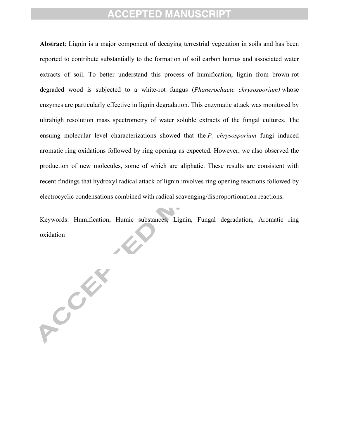**Abstract**: Lignin is a major component of decaying terrestrial vegetation in soils and has been reported to contribute substantially to the formation of soil carbon humus and associated water extracts of soil. To better understand this process of humification, lignin from brown-rot degraded wood is subjected to a white-rot fungus (*Phanerochaete chrysosporium)* whose enzymes are particularly effective in lignin degradation. This enzymatic attack was monitored by ultrahigh resolution mass spectrometry of water soluble extracts of the fungal cultures. The ensuing molecular level characterizations showed that the *P. chrysosporium* fungi induced aromatic ring oxidations followed by ring opening as expected. However, we also observed the production of new molecules, some of which are aliphatic. These results are consistent with recent findings that hydroxyl radical attack of lignin involves ring opening reactions followed by electrocyclic condensations combined with radical scavenging/disproportionation reactions.

Keywords: Humification, Humic substances, Lignin, Fungal degradation, Aromatic ring oxidation

A COM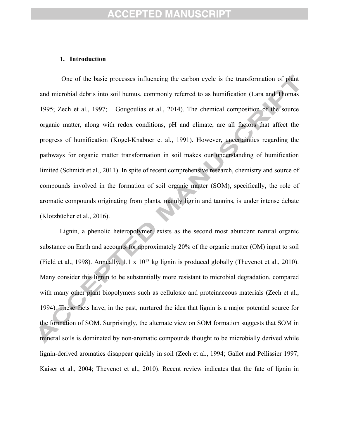#### **1. Introduction**

 One of the basic processes influencing the carbon cycle is the transformation of plant and microbial debris into soil humus, commonly referred to as humification (Lara and Thomas 1995; [Zech](https://www.sciencedirect.com/science/article/pii/S0016706197000402#!) et al., 1997; Gougoulias et al., 2014). The chemical composition of the source organic matter, along with redox conditions, pH and climate, are all factors that affect the progress of humification (Kogel-Knabner et al., 1991). However, uncertainties regarding the pathways for organic matter transformation in soil makes our understanding of humification limited (Schmidt et al., 2011). In spite of recent comprehensive research, chemistry and source of compounds involved in the formation of soil organic matter (SOM), specifically, the role of aromatic compounds originating from plants, mainly lignin and tannins, is under intense debate (Klotzbücher et al., 2016).

Lignin, a phenolic heteropolymer, exists as the second most abundant natural organic substance on Earth and accounts for approximately 20% of the organic matter (OM) input to soil (Field et al., 1998). Annually, 1.1 x 10<sup>13</sup> kg lignin is produced globally (Thevenot et al., 2010). Many consider this lignin to be substantially more resistant to microbial degradation, compared with many other plant biopolymers such as cellulosic and proteinaceous materials (Zech et al., 1994). These facts have, in the past, nurtured the idea that lignin is a major potential source for the formation of SOM. Surprisingly, the alternate view on SOM formation suggests that SOM in mineral soils is dominated by non-aromatic compounds thought to be microbially derived while lignin-derived aromatics disappear quickly in soil (Zech et al., 1994; Gallet and Pellissier 1997; Kaiser et al., 2004; Thevenot et al., 2010). Recent review indicates that the fate of lignin in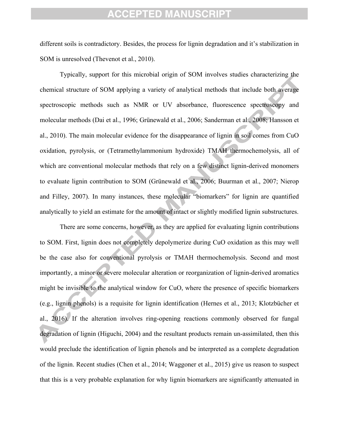different soils is contradictory. Besides, the process for lignin degradation and it's stabilization in SOM is unresolved (Thevenot et al., 2010).

Typically, support for this microbial origin of SOM involves studies characterizing the chemical structure of SOM applying a variety of analytical methods that include both average spectroscopic methods such as NMR or UV absorbance, fluorescence spectroscopy and molecular methods (Dai et al., 1996; Grünewald et al., 2006; Sanderman et al., 2008; Hansson et al., 2010). The main molecular evidence for the disappearance of lignin in soil comes from CuO oxidation, pyrolysis, or (Tetramethylammonium hydroxide) TMAH thermochemolysis, all of which are conventional molecular methods that rely on a few distinct lignin-derived monomers to evaluate lignin contribution to SOM (Grünewald et al., 2006; Buurman et al., 2007; Nierop and Filley, 2007). In many instances, these molecular "biomarkers" for lignin are quantified analytically to yield an estimate for the amount of intact or slightly modified lignin substructures.

There are some concerns, however, as they are applied for evaluating lignin contributions to SOM. First, lignin does not completely depolymerize during CuO oxidation as this may well be the case also for conventional pyrolysis or TMAH thermochemolysis. Second and most importantly, a minor or severe molecular alteration or reorganization of lignin-derived aromatics might be invisible to the analytical window for CuO, where the presence of specific biomarkers (e.g., lignin phenols) is a requisite for lignin identification (Hernes et al., 2013; Klotzbücher et al., 2016). If the alteration involves ring-opening reactions commonly observed for fungal degradation of lignin (Higuchi, 2004) and the resultant products remain un-assimilated, then this would preclude the identification of lignin phenols and be interpreted as a complete degradation of the lignin. Recent studies (Chen et al., 2014; Waggoner et al., 2015) give us reason to suspect that this is a very probable explanation for why lignin biomarkers are significantly attenuated in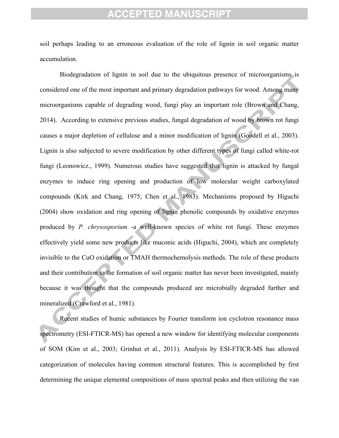soil perhaps leading to an erroneous evaluation of the role of lignin in soil organic matter accumulation.

Biodegradation of lignin in soil due to the ubiquitous presence of microorganisms is considered one of the most important and primary degradation pathways for wood. Among many microorganisms capable of degrading wood, fungi play an important role (Brown and Chang, 2014). According to extensive previous studies, fungal degradation of wood by brown rot fungi causes a major depletion of cellulose and a minor modification of lignin (Goodell et al., 2003). Lignin is also subjected to severe modification by other different types of fungi called white-rot fungi (Leonowicz., 1999). Numerous studies have suggested that lignin is attacked by fungal enzymes to induce ring opening and production of low molecular weight carboxylated compounds (Kirk and Chang, 1975; Chen et al., 1983). Mechanisms proposed by Higuchi (2004) show oxidation and ring opening of lignin phenolic compounds by oxidative enzymes produced by *P. chrysosporium* -a well-known species of white rot fungi. These enzymes effectively yield some new products like muconic acids (Higuchi, 2004), which are completely invisible to the CuO oxidation or TMAH thermochemolysis methods. The role of these products and their contribution to the formation of soil organic matter has never been investigated, mainly because it was thought that the compounds produced are microbially degraded further and mineralized (Crawford et al., 1981).

Recent studies of humic substances by Fourier transform ion cyclotron resonance mass spectrometry (ESI-FTICR-MS) has opened a new window for identifying molecular components of SOM (Kim et al., 2003; Grinhut et al., 2011). Analysis by ESI-FTICR-MS has allowed categorization of molecules having common structural features. This is accomplished by first determining the unique elemental compositions of mass spectral peaks and then utilizing the van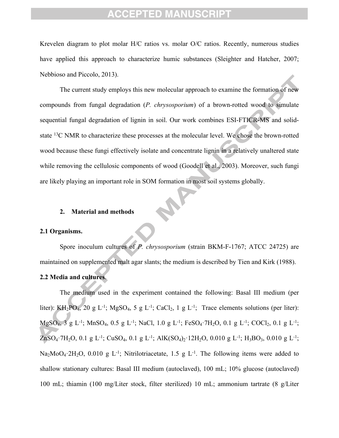Krevelen diagram to plot molar H/C ratios vs. molar O/C ratios. Recently, numerous studies have applied this approach to characterize humic substances (Sleighter and Hatcher, 2007; Nebbioso and Piccolo, 2013).

The current study employs this new molecular approach to examine the formation of new compounds from fungal degradation (*P. chrysosporium*) of a brown-rotted wood to simulate sequential fungal degradation of lignin in soil. Our work combines ESI-FTICR-MS and solidstate <sup>13</sup>C NMR to characterize these processes at the molecular level. We chose the brown-rotted wood because these fungi effectively isolate and concentrate lignin in a relatively unaltered state while removing the cellulosic components of wood (Goodell et al., 2003). Moreover, such fungi are likely playing an important role in SOM formation in most soil systems globally.

#### **2. Material and methods**

#### **2.1 Organisms.**

Spore inoculum cultures of *P. chrysosporium* (strain BKM-F-1767; ATCC 24725) are maintained on supplemented malt agar slants; the medium is described by Tien and Kirk (1988).

#### **2.2 Media and cultures**.

The medium used in the experiment contained the following: Basal III medium (per liter):  $KH_2PO_4$ , 20 g L<sup>-1</sup>; MgSO<sub>4</sub>, 5 g L<sup>-1</sup>; CaCl<sub>2</sub>, 1 g L<sup>-1</sup>; Trace elements solutions (per liter):  $MgSO_4$ ,  $3 g L^{-1}$ ;  $MnSO_4$ ,  $0.5 g L^{-1}$ ;  $NaCl$ ,  $1.0 g L^{-1}$ ;  $FeSO_4 \cdot 7H_2O$ ,  $0.1 g L^{-1}$ ;  $COCl_2$ ,  $0.1 g L^{-1}$ ;  $ZnSO_4$ ·7H<sub>2</sub>O, 0.1 g L<sup>-1</sup>; CuSO<sub>4</sub>, 0.1 g L<sup>-1</sup>; AlK(SO<sub>4</sub>)<sub>2</sub>·12H<sub>2</sub>O, 0.010 g L<sup>-1</sup>; H<sub>3</sub>BO<sub>3</sub>, 0.010 g L<sup>-1</sup>;  $Na<sub>2</sub>MoO<sub>4</sub>·2H<sub>2</sub>O$ , 0.010 g L<sup>-1</sup>; Nitrilotriacetate, 1.5 g L<sup>-1</sup>. The following items were added to shallow stationary cultures: Basal III medium (autoclaved), 100 mL; 10% glucose (autoclaved) 100 mL; thiamin (100 mg/Liter stock, filter sterilized) 10 mL; ammonium tartrate (8 g/Liter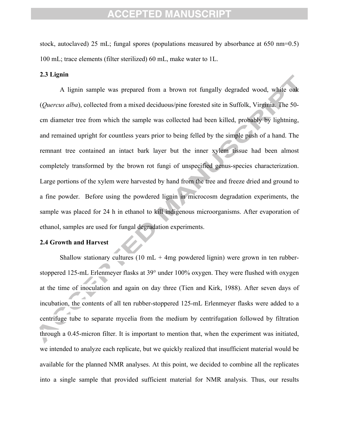stock, autoclaved) 25 mL; fungal spores (populations measured by absorbance at 650 nm=0.5) 100 mL; trace elements (filter sterilized) 60 mL, make water to 1L.

#### **2.3 Lignin**

A lignin sample was prepared from a brown rot fungally degraded wood, white oak (*Quercus alba*), collected from a mixed deciduous/pine forested site in Suffolk, Virginia. The 50 cm diameter tree from which the sample was collected had been killed, probably by lightning, and remained upright for countless years prior to being felled by the simple push of a hand. The remnant tree contained an intact bark layer but the inner xylem tissue had been almost completely transformed by the brown rot fungi of unspecified genus-species characterization. Large portions of the xylem were harvested by hand from the tree and freeze dried and ground to a fine powder. Before using the powdered lignin in microcosm degradation experiments, the sample was placed for 24 h in ethanol to kill indigenous microorganisms. After evaporation of ethanol, samples are used for fungal degradation experiments.

#### **2.4 Growth and Harvest**

Shallow stationary cultures (10 mL + 4mg powdered lignin) were grown in ten rubberstoppered 125-mL Erlenmeyer flasks at 39° under 100% oxygen. They were flushed with oxygen at the time of inoculation and again on day three (Tien and Kirk, 1988). After seven days of incubation, the contents of all ten rubber-stoppered 125-mL Erlenmeyer flasks were added to a centrifuge tube to separate mycelia from the medium by centrifugation followed by filtration through a 0.45-micron filter. It is important to mention that, when the experiment was initiated, we intended to analyze each replicate, but we quickly realized that insufficient material would be available for the planned NMR analyses. At this point, we decided to combine all the replicates into a single sample that provided sufficient material for NMR analysis. Thus, our results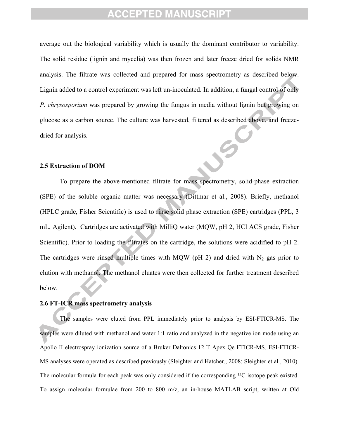average out the biological variability which is usually the dominant contributor to variability. The solid residue (lignin and mycelia) was then frozen and later freeze dried for solids NMR analysis. The filtrate was collected and prepared for mass spectrometry as described below. Lignin added to a control experiment was left un-inoculated. In addition, a fungal control of only *P. chrysosporium* was prepared by growing the fungus in media without lignin but growing on glucose as a carbon source. The culture was harvested, filtered as described above, and freezedried for analysis.

#### **2.5 Extraction of DOM**

To prepare the above-mentioned filtrate for mass spectrometry, solid-phase extraction (SPE) of the soluble organic matter was necessary (Dittmar et al., 2008). Briefly, methanol (HPLC grade, Fisher Scientific) is used to rinse solid phase extraction (SPE) cartridges (PPL, 3 mL, Agilent). Cartridges are activated with MilliQ water (MQW, pH 2, HCl ACS grade, Fisher Scientific). Prior to loading the filtrates on the cartridge, the solutions were acidified to pH 2. The cartridges were rinsed multiple times with MQW (pH 2) and dried with  $N_2$  gas prior to elution with methanol. The methanol eluates were then collected for further treatment described below.

#### **2.6 FT-ICR mass spectrometry analysis**

The samples were eluted from PPL immediately prior to analysis by ESI-FTICR-MS. The samples were diluted with methanol and water 1:1 ratio and analyzed in the negative ion mode using an Apollo II electrospray ionization source of a Bruker Daltonics 12 T Apex Qe FTICR-MS. ESI-FTICR-MS analyses were operated as described previously (Sleighter and Hatcher., 2008; Sleighter et al., 2010). The molecular formula for each peak was only considered if the corresponding <sup>13</sup>C isotope peak existed. To assign molecular formulae from 200 to 800 m/z, an in-house MATLAB script, written at Old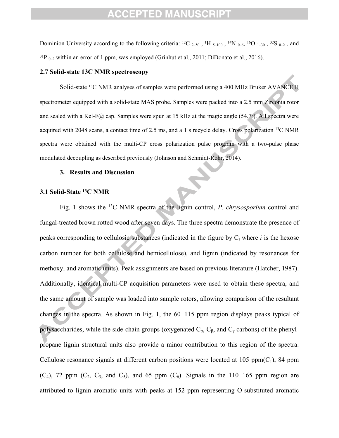Dominion University according to the following criteria: <sup>12</sup>C <sub>2-50</sub>, <sup>1</sup>H <sub>5-100</sub>, <sup>14</sup>N <sub>0-6</sub>, <sup>16</sup>O <sub>1-30</sub>, <sup>32</sup>S <sub>0-2</sub>, and  $31P_{0-2}$  within an error of 1 ppm, was employed (Grinhut et al., 2011; DiDonato et al., 2016).

#### **2.7 Solid-state 13C NMR spectroscopy**

Solid-state <sup>13</sup>C NMR analyses of samples were performed using a 400 MHz Bruker AVANCE II spectrometer equipped with a solid-state MAS probe. Samples were packed into a 2.5 mm Zirconia rotor and sealed with a Kel-F@ cap. Samples were spun at 15 kHz at the magic angle (54.7º). All spectra were acquired with 2048 scans, a contact time of 2.5 ms, and a 1 s recycle delay. Cross polarization <sup>13</sup>C NMR spectra were obtained with the multi-CP cross polarization pulse program with a two-pulse phase modulated decoupling as described previously (Johnson and Schmidt-Rohr, 2014).

#### **3. Results and Discussion**

#### **3.1 Solid-State <sup>13</sup>C NMR**

Fig. 1 shows the <sup>13</sup>C NMR spectra of the lignin control, *P. chrysosporium* control and fungal-treated brown rotted wood after seven days. The three spectra demonstrate the presence of peaks corresponding to cellulosic substances (indicated in the figure by  $C_i$  where  $i$  is the hexose carbon number for both cellulose and hemicellulose), and lignin (indicated by resonances for methoxyl and aromatic units). Peak assignments are based on previous literature (Hatcher, 1987). Additionally, identical multi-CP acquisition parameters were used to obtain these spectra, and the same amount of sample was loaded into sample rotors, allowing comparison of the resultant changes in the spectra. As shown in Fig. 1, the 60−115 ppm region displays peaks typical of polysaccharides, while the side-chain groups (oxygenated  $C_{\alpha}$ ,  $C_{\beta}$ , and  $C_{\gamma}$  carbons) of the phenylpropane lignin structural units also provide a minor contribution to this region of the spectra. Cellulose resonance signals at different carbon positions were located at 105 ppm( $C_1$ ), 84 ppm (C<sub>4</sub>), 72 ppm (C<sub>2</sub>, C<sub>3</sub>, and C<sub>5</sub>), and 65 ppm (C<sub>6</sub>). Signals in the 110−165 ppm region are attributed to lignin aromatic units with peaks at 152 ppm representing O-substituted aromatic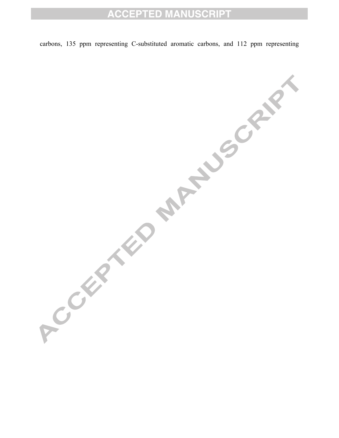carbons, 135 ppm representing C-substituted aromatic carbons, and 112 ppm representing<br>carbons, 135 ppm representing C-substituted aromatic carbons, and 112 ppm representing<br>experiments of the control of the substituted ar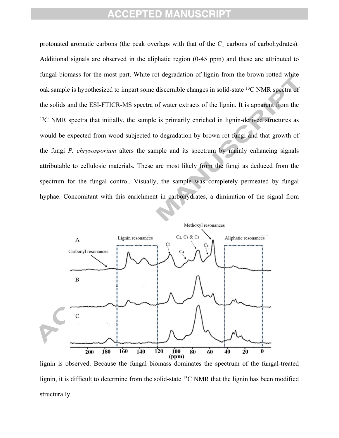protonated aromatic carbons (the peak overlaps with that of the  $C_1$  carbons of carbohydrates). Additional signals are observed in the aliphatic region (0-45 ppm) and these are attributed to fungal biomass for the most part. White-rot degradation of lignin from the brown-rotted white oak sample is hypothesized to impart some discernible changes in solid-state <sup>13</sup>C NMR spectra of the solids and the ESI-FTICR-MS spectra of water extracts of the lignin. It is apparent from the <sup>13</sup>C NMR spectra that initially, the sample is primarily enriched in lignin-derived structures as would be expected from wood subjected to degradation by brown rot fungi and that growth of the fungi *P. chrysosporium* alters the sample and its spectrum by mainly enhancing signals attributable to cellulosic materials. These are most likely from the fungi as deduced from the spectrum for the fungal control. Visually, the sample was completely permeated by fungal hyphae. Concomitant with this enrichment in carbohydrates, a diminution of the signal from



lignin is observed. Because the fungal biomass dominates the spectrum of the fungal-treated lignin, it is difficult to determine from the solid-state <sup>13</sup>C NMR that the lignin has been modified structurally.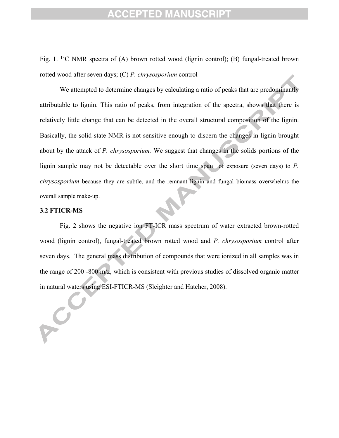Fig. 1. <sup>13</sup>C NMR spectra of (A) brown rotted wood (lignin control); (B) fungal-treated brown rotted wood after seven days; (C) *P. chrysosporium* control

We attempted to determine changes by calculating a ratio of peaks that are predominantly attributable to lignin. This ratio of peaks, from integration of the spectra, shows that there is relatively little change that can be detected in the overall structural composition of the lignin. Basically, the solid-state NMR is not sensitive enough to discern the changes in lignin brought about by the attack of *P. chrysosporium.* We suggest that changes in the solids portions of the lignin sample may not be detectable over the short time span of exposure (seven days) to *P. chrysosporium* because they are subtle, and the remnant lignin and fungal biomass overwhelms the overall sample make-up.

#### **3.2 FTICR-MS**

Fig. 2 shows the negative ion FT-ICR mass spectrum of water extracted brown-rotted wood (lignin control), fungal-treated brown rotted wood and *P. chrysosporium* control after seven days. The general mass distribution of compounds that were ionized in all samples was in the range of 200 -800 m/z, which is consistent with previous studies of dissolved organic matter in natural waters using ESI-FTICR-MS (Sleighter and Hatcher, 2008).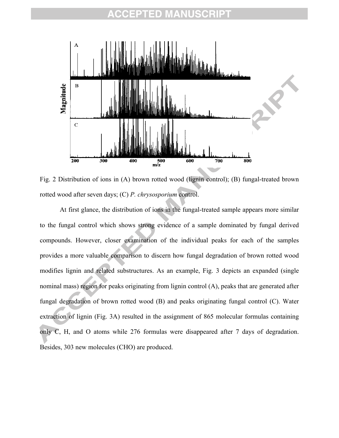

Fig. 2 Distribution of ions in (A) brown rotted wood (lignin control); (B) fungal-treated brown rotted wood after seven days; (C) *P. chrysosporium* control.

At first glance, the distribution of ions in the fungal-treated sample appears more similar to the fungal control which shows strong evidence of a sample dominated by fungal derived compounds. However, closer examination of the individual peaks for each of the samples provides a more valuable comparison to discern how fungal degradation of brown rotted wood modifies lignin and related substructures. As an example, Fig. 3 depicts an expanded (single nominal mass) region for peaks originating from lignin control (A), peaks that are generated after fungal degradation of brown rotted wood (B) and peaks originating fungal control (C). Water extraction of lignin (Fig. 3A) resulted in the assignment of 865 molecular formulas containing only C, H, and O atoms while 276 formulas were disappeared after 7 days of degradation. Besides, 303 new molecules (CHO) are produced.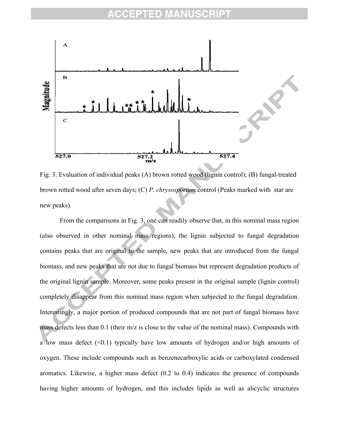### **CCEPTED MANU**



Fig. 3. Evaluation of individual peaks (A) brown rotted wood (lignin control); (B) fungal-treated brown rotted wood after seven days; (C) *P. chrysosporium* control (Peaks marked with star are new peaks).

From the comparisons in Fig. 3, one can readily observe that, in this nominal mass region (also observed in other nominal mass regions), the lignin subjected to fungal degradation contains peaks that are original to the sample, new peaks that are introduced from the fungal biomass, and new peaks that are not due to fungal biomass but represent degradation products of the original lignin sample. Moreover, some peaks present in the original sample (lignin control) completely disappear from this nominal mass region when subjected to the fungal degradation. Interestingly, a major portion of produced compounds that are not part of fungal biomass have mass defects less than 0.1 (their m/z is close to the value of the nominal mass). Compounds with a low mass defect  $(\leq 0.1)$  typically have low amounts of hydrogen and/or high amounts of oxygen. These include compounds such as benzenecarboxylic acids or carboxylated condensed aromatics. Likewise, a higher mass defect (0.2 to 0.4) indicates the presence of compounds having higher amounts of hydrogen, and this includes lipids as well as alicyclic structures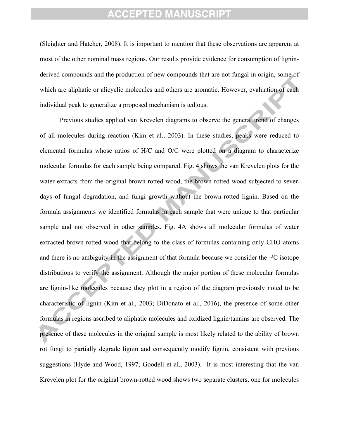(Sleighter and Hatcher, 2008). It is important to mention that these observations are apparent at most of the other nominal mass regions. Our results provide evidence for consumption of ligninderived compounds and the production of new compounds that are not fungal in origin, some of which are aliphatic or alicyclic molecules and others are aromatic. However, evaluation of each individual peak to generalize a proposed mechanism is tedious.

Previous studies applied van Krevelen diagrams to observe the general trend of changes of all molecules during reaction (Kim et al., 2003). In these studies, peaks were reduced to elemental formulas whose ratios of H/C and O/C were plotted on a diagram to characterize molecular formulas for each sample being compared. Fig. 4 shows the van Krevelen plots for the water extracts from the original brown-rotted wood, the brown rotted wood subjected to seven days of fungal degradation, and fungi growth without the brown-rotted lignin. Based on the formula assignments we identified formulas in each sample that were unique to that particular sample and not observed in other samples. Fig. 4A shows all molecular formulas of water extracted brown-rotted wood that belong to the class of formulas containing only CHO atoms and there is no ambiguity in the assignment of that formula because we consider the <sup>13</sup>C isotope distributions to verify the assignment. Although the major portion of these molecular formulas are lignin-like molecules because they plot in a region of the diagram previously noted to be characteristic of lignin (Kim et al., 2003; DiDonato et al., 2016), the presence of some other formulas in regions ascribed to aliphatic molecules and oxidized lignin/tannins are observed. The presence of these molecules in the original sample is most likely related to the ability of brown rot fungi to partially degrade lignin and consequently modify lignin, consistent with previous suggestions (Hyde and Wood, 1997; Goodell et al., 2003). It is most interesting that the van Krevelen plot for the original brown-rotted wood shows two separate clusters, one for molecules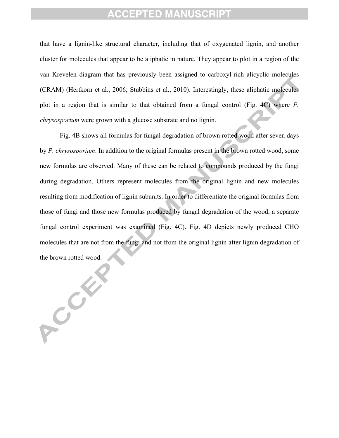that have a lignin-like structural character, including that of oxygenated lignin, and another cluster for molecules that appear to be aliphatic in nature. They appear to plot in a region of the van Krevelen diagram that has previously been assigned to carboxyl-rich alicyclic molecules (CRAM) (Hertkorn et al., 2006; Stubbins et al., 2010). Interestingly, these aliphatic molecules plot in a region that is similar to that obtained from a fungal control (Fig. 4C) where *P. chrysosporium* were grown with a glucose substrate and no lignin.

Fig. 4B shows all formulas for fungal degradation of brown rotted wood after seven days by *P. chrysosporium*. In addition to the original formulas present in the brown rotted wood, some new formulas are observed. Many of these can be related to compounds produced by the fungi during degradation. Others represent molecules from the original lignin and new molecules resulting from modification of lignin subunits. In order to differentiate the original formulas from those of fungi and those new formulas produced by fungal degradation of the wood, a separate fungal control experiment was examined (Fig. 4C). Fig. 4D depicts newly produced CHO molecules that are not from the fungi and not from the original lignin after lignin degradation of the brown rotted wood.

PCCHI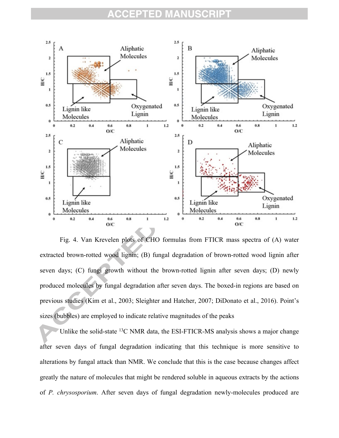

Fig. 4. Van Krevelen plots of CHO formulas from FTICR mass spectra of (A) water extracted brown-rotted wood lignin; (B) fungal degradation of brown-rotted wood lignin after seven days; (C) fungi growth without the brown-rotted lignin after seven days; (D) newly produced molecules by fungal degradation after seven days. The boxed-in regions are based on previous studies (Kim et al., 2003; Sleighter and Hatcher, 2007; DiDonato et al., 2016). Point's sizes (bubbles) are employed to indicate relative magnitudes of the peaks

Unlike the solid-state <sup>13</sup>C NMR data, the ESI-FTICR-MS analysis shows a major change after seven days of fungal degradation indicating that this technique is more sensitive to alterations by fungal attack than NMR. We conclude that this is the case because changes affect greatly the nature of molecules that might be rendered soluble in aqueous extracts by the actions of *P. chrysosporium*. After seven days of fungal degradation newly-molecules produced are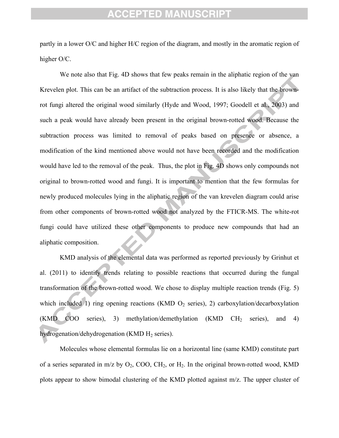partly in a lower O/C and higher H/C region of the diagram, and mostly in the aromatic region of higher O/C.

We note also that Fig. 4D shows that few peaks remain in the aliphatic region of the van Krevelen plot. This can be an artifact of the subtraction process. It is also likely that the brownrot fungi altered the original wood similarly (Hyde and Wood, 1997; Goodell et al., 2003) and such a peak would have already been present in the original brown-rotted wood. Because the subtraction process was limited to removal of peaks based on presence or absence, a modification of the kind mentioned above would not have been recorded and the modification would have led to the removal of the peak. Thus, the plot in Fig. 4D shows only compounds not original to brown-rotted wood and fungi. It is important to mention that the few formulas for newly produced molecules lying in the aliphatic region of the van krevelen diagram could arise from other components of brown-rotted wood not analyzed by the FTICR-MS. The white-rot fungi could have utilized these other components to produce new compounds that had an aliphatic composition.

KMD analysis of the elemental data was performed as reported previously by Grinhut et al. (2011) to identify trends relating to possible reactions that occurred during the fungal transformation of the brown-rotted wood. We chose to display multiple reaction trends (Fig. 5) which included 1) ring opening reactions (KMD  $O_2$  series), 2) carboxylation/decarboxylation  $(KMD$  COO series), 3) methylation/demethylation  $(KMD$  CH<sub>2</sub> series), and 4) hydrogenation/dehydrogenation (KMD  $H_2$  series).

Molecules whose elemental formulas lie on a horizontal line (same KMD) constitute part of a series separated in m/z by  $O_2$ , COO, CH<sub>2</sub>, or H<sub>2</sub>. In the original brown-rotted wood, KMD plots appear to show bimodal clustering of the KMD plotted against m/z. The upper cluster of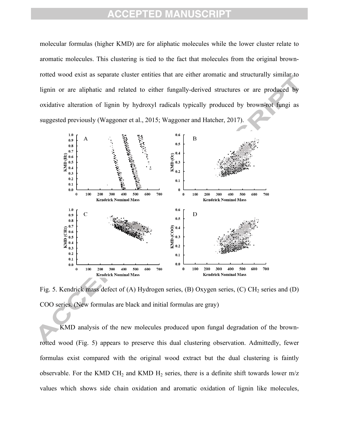molecular formulas (higher KMD) are for aliphatic molecules while the lower cluster relate to aromatic molecules. This clustering is tied to the fact that molecules from the original brownrotted wood exist as separate cluster entities that are either aromatic and structurally similar to lignin or are aliphatic and related to either fungally-derived structures or are produced by oxidative alteration of lignin by hydroxyl radicals typically produced by brown-rot fungi as suggested previously (Waggoner et al., 2015; Waggoner and Hatcher, 2017).



Fig. 5. Kendrick mass defect of (A) Hydrogen series, (B) Oxygen series, (C) CH<sub>2</sub> series and (D) COO series. (New formulas are black and initial formulas are gray)

KMD analysis of the new molecules produced upon fungal degradation of the brownrotted wood (Fig. 5) appears to preserve this dual clustering observation. Admittedly, fewer formulas exist compared with the original wood extract but the dual clustering is faintly observable. For the KMD CH<sub>2</sub> and KMD H<sub>2</sub> series, there is a definite shift towards lower m/z values which shows side chain oxidation and aromatic oxidation of lignin like molecules,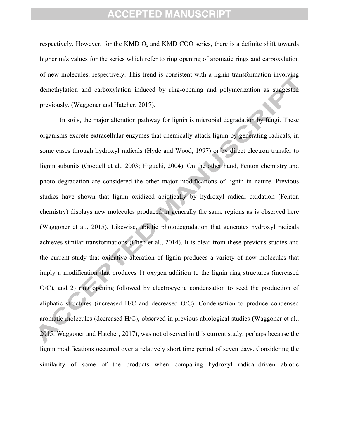respectively. However, for the KMD  $O_2$  and KMD COO series, there is a definite shift towards higher m/z values for the series which refer to ring opening of aromatic rings and carboxylation of new molecules, respectively. This trend is consistent with a lignin transformation involving demethylation and carboxylation induced by ring-opening and polymerization as suggested previously. (Waggoner and Hatcher, 2017).

In soils, the major alteration pathway for lignin is microbial degradation by fungi. These organisms excrete extracellular enzymes that chemically attack lignin by generating radicals, in some cases through hydroxyl radicals (Hyde and Wood, 1997) or by direct electron transfer to lignin subunits (Goodell et al., 2003; Higuchi, 2004). On the other hand, Fenton chemistry and photo degradation are considered the other major modifications of lignin in nature. Previous studies have shown that lignin oxidized abiotically by hydroxyl radical oxidation (Fenton chemistry) displays new molecules produced in generally the same regions as is observed here (Waggoner et al., 2015). Likewise, abiotic photodegradation that generates hydroxyl radicals achieves similar transformations (Chen et al., 2014). It is clear from these previous studies and the current study that oxidative alteration of lignin produces a variety of new molecules that imply a modification that produces 1) oxygen addition to the lignin ring structures (increased O/C), and 2) ring opening followed by electrocyclic condensation to seed the production of aliphatic structures (increased H/C and decreased O/C). Condensation to produce condensed aromatic molecules (decreased H/C), observed in previous abiological studies (Waggoner et al., 2015: Waggoner and Hatcher, 2017), was not observed in this current study, perhaps because the lignin modifications occurred over a relatively short time period of seven days. Considering the similarity of some of the products when comparing hydroxyl radical-driven abiotic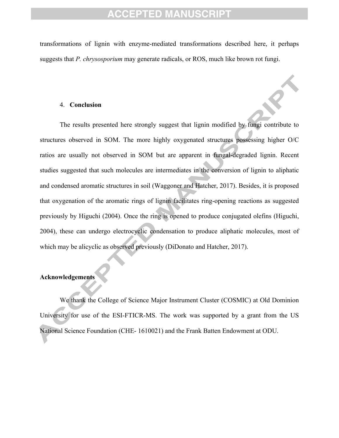transformations of lignin with enzyme-mediated transformations described here, it perhaps suggests that *P. chrysosporium* may generate radicals, or ROS, much like brown rot fungi.

#### 4. **Conclusion**

The results presented here strongly suggest that lignin modified by fungi contribute to structures observed in SOM. The more highly oxygenated structures possessing higher O/C ratios are usually not observed in SOM but are apparent in fungal-degraded lignin. Recent studies suggested that such molecules are intermediates in the conversion of lignin to aliphatic and condensed aromatic structures in soil (Waggoner and Hatcher, 2017). Besides, it is proposed that oxygenation of the aromatic rings of lignin facilitates ring-opening reactions as suggested previously by Higuchi (2004). Once the ring is opened to produce conjugated olefins (Higuchi, 2004), these can undergo electrocyclic condensation to produce aliphatic molecules, most of which may be alicyclic as observed previously (DiDonato and Hatcher, 2017).

#### **Acknowledgements**

We thank the College of Science Major Instrument Cluster (COSMIC) at Old Dominion University for use of the ESI-FTICR-MS. The work was supported by a grant from the US National Science Foundation (CHE- 1610021) and the Frank Batten Endowment at ODU.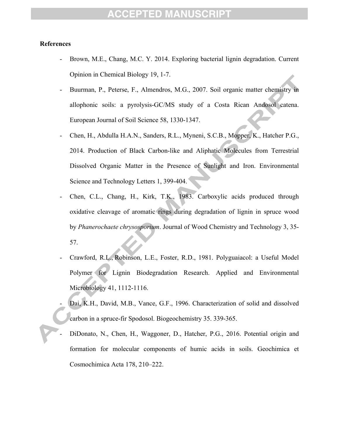#### **References**

- Brown, M.E., Chang, M.C. Y. 2014. Exploring bacterial lignin degradation. Current Opinion in Chemical Biology 19, 1-7.
- Buurman, P., Peterse, F., Almendros, M.G., 2007. Soil organic matter chemistry in allophonic soils: a pyrolysis-GC/MS study of a Costa Rican Andosol catena. European Journal of Soil Science 58, 1330-1347.
- Chen, H., Abdulla H.A.N., Sanders, R.L., Myneni, S.C.B., Mopper, K., Hatcher P.G., 2014. Production of Black Carbon-like and Aliphatic Molecules from Terrestrial Dissolved Organic Matter in the Presence of Sunlight and Iron. Environmental Science and Technology Letters 1, 399-404.
- Chen, C.L., Chang, H., Kirk, T.K., 1983. Carboxylic acids produced through oxidative cleavage of aromatic rings during degradation of lignin in spruce wood by *Phanerochaete chrysosporium*. Journal of Wood Chemistry and Technology 3, 35- 57.
- [Crawford, R.L](https://www.ncbi.nlm.nih.gov/pubmed/?term=Crawford%20RL%5BAuthor%5D&cauthor=true&cauthor_uid=16345766)., [Robinson, L.E.](https://www.ncbi.nlm.nih.gov/pubmed/?term=Robinson%20LE%5BAuthor%5D&cauthor=true&cauthor_uid=16345766), [Foster, R.D.](https://www.ncbi.nlm.nih.gov/pubmed/?term=Foster%20RD%5BAuthor%5D&cauthor=true&cauthor_uid=16345766), 1981. Polyguaiacol: a Useful Model Polymer for Lignin Biodegradation Research. Applied and Environmental Microbiology 41, 1112-1116.
- Dai, K.H., David, M.B., Vance, G.F., 1996. Characterization of solid and dissolved carbon in a spruce-fir Spodosol. Biogeochemistry 35. 339-365.
- DiDonato, N., Chen, H., Waggoner, D., Hatcher, P.G., 2016. Potential origin and formation for molecular components of humic acids in soils. Geochimica et Cosmochimica Acta 178, 210–222.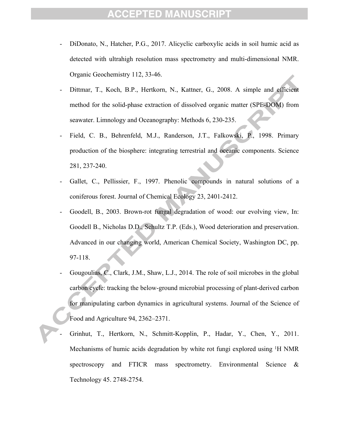- DiDonato, N., Hatcher, P.G., 2017. Alicyclic carboxylic acids in soil humic acid as detected with ultrahigh resolution mass spectrometry and multi-dimensional NMR. Organic Geochemistry 112, 33-46.
- Dittmar, T., Koch, B.P., Hertkorn, N., Kattner, G., 2008. A simple and efficient method for the solid-phase extraction of dissolved organic matter (SPE-DOM) from seawater. Limnology and Oceanography: Methods 6, 230-235.
- Field, C. B., Behrenfeld, M.J., Randerson, J.T., Falkowski, P., 1998. Primary production of the biosphere: integrating terrestrial and oceanic components. Science 281, 237-240.
- Gallet, C., Pellissier, F., 1997. Phenolic compounds in natural solutions of a coniferous forest. Journal of Chemical Ecology 23, 2401-2412.
- Goodell, B., 2003. Brown-rot fungal degradation of wood: our evolving view, In: Goodell B., Nicholas D.D., Schultz T.P. (Eds.), Wood deterioration and preservation. Advanced in our changing world, American Chemical Society, Washington DC, pp. 97-118.
- Gougoulias, C., Clark, J.M., Shaw, L.J., 2014. The role of soil microbes in the global carbon cycle: tracking the below-ground microbial processing of plant-derived carbon for manipulating carbon dynamics in agricultural systems. Journal of the Science of Food and Agriculture 94, 2362–2371.
- Grinhut, T., Hertkorn, N., Schmitt-Kopplin, P., Hadar, Y., Chen, Y., 2011. Mechanisms of humic acids degradation by white rot fungi explored using <sup>1</sup>H NMR spectroscopy and FTICR mass spectrometry. Environmental Science & Technology 45. 2748-2754.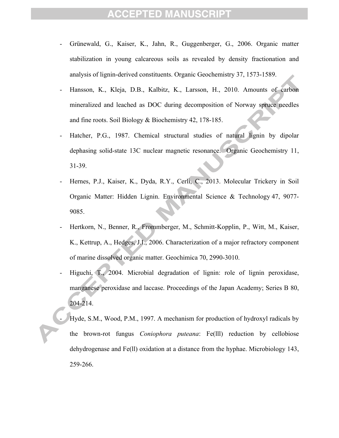- Grünewald, G., Kaiser, K., Jahn, R., Guggenberger, G., 2006. Organic matter stabilization in young calcareous soils as revealed by density fractionation and analysis of lignin-derived constituents. Organic Geochemistry 37, 1573-1589.
- Hansson, K., Kleja, D.B., Kalbitz, K., Larsson, H., 2010. Amounts of carbon mineralized and leached as DOC during decomposition of Norway spruce needles and fine roots. Soil Biology & Biochemistry 42, 178-185.
- Hatcher, P.G., 1987. Chemical structural studies of natural lignin by dipolar dephasing solid-state 13C nuclear magnetic resonance. Organic Geochemistry 11, 31-39.
- Hernes, P.J., Kaiser, K., Dyda, R.Y., Cerli, C., 2013. Molecular Trickery in Soil Organic Matter: Hidden Lignin. Environmental Science & Technology 47, 9077- 9085.
- Hertkorn, N., Benner, R., Frommberger, M., Schmitt-Kopplin, P., Witt, M., Kaiser, K., Kettrup, A., Hedges, J.I., 2006. Characterization of a major refractory component of marine dissolved organic matter. Geochimica 70, 2990-3010.
- Higuchi, T., 2004. Microbial degradation of lignin: role of lignin peroxidase, manganese peroxidase and laccase. Proceedings of the Japan Academy; Series B 80, 204-214.
- Hyde, S.M., Wood, P.M., 1997. A mechanism for production of hydroxyl radicals by the brown-rot fungus *Coniophora puteana*: Fe(lll) reduction by cellobiose dehydrogenase and Fe(ll) oxidation at a distance from the hyphae. Microbiology 143, 259-266.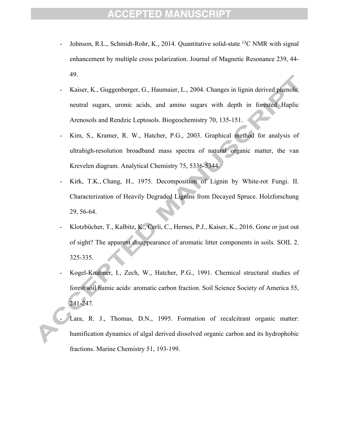- [Johnson, R.L.](https://www.ncbi.nlm.nih.gov/pubmed/?term=Johnson%20RL%5BAuthor%5D&cauthor=true&cauthor_uid=24374751), [Schmidt-Rohr, K](https://www.ncbi.nlm.nih.gov/pubmed/?term=Schmidt-Rohr%20K%5BAuthor%5D&cauthor=true&cauthor_uid=24374751)., 2014. Quantitative solid-state <sup>13</sup>C NMR with signal enhancement by multiple cross polarization. Journal of Magnetic Resonance 239, 44- 49.
- Kaiser, K., Guggenberger, G., Haumaier, L., 2004. Changes in lignin derived phenols, neutral sugars, uronic acids, and amino sugars with depth in forested Haplic Arenosols and Rendzic Leptosols. Biogeochemistry 70, 135-151.
- Kim, S., Kramer, R. W., Hatcher, P.G., 2003. Graphical method for analysis of ultrahigh-resolution broadband mass spectra of natural organic matter, the van Krevelen diagram. Analytical Chemistry 75, 5336-5344.
- Kirk, T.K., Chang, H., 1975. Decomposition of Lignin by White-rot Fungi. II. Characterization of Heavily Degraded Lignins from Decayed Spruce. Holzforschung 29, 56-64.
- Klotzbücher, T., Kalbitz, K., Cerli, C., Hernes, P.J., Kaiser, K., 2016. Gone or just out of sight? The apparent disappearance of aromatic litter components in soils. SOIL 2. 325-335.
- Kogel-Knabner, I., Zech, W., Hatcher, P.G., 1991. Chemical structural studies of forest soil humic acids: aromatic carbon fraction. Soil Science Society of America 55, 241-247.

Lara, [R. J.](https://www.sciencedirect.com/science/article/pii/0304420395000666#!), Thomas, [D.N.](https://www.sciencedirect.com/science/article/pii/0304420395000666#!), 1995. Formation of recalcitrant organic matter: humification dynamics of algal derived dissolved organic carbon and its hydrophobic fractions. [Marine Chemistry](https://www.sciencedirect.com/science/journal/03044203) [51, 1](https://www.sciencedirect.com/science/journal/03044203/51/3)93-199.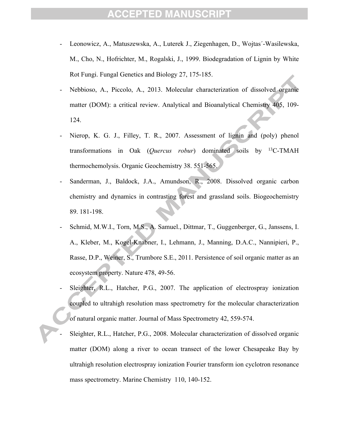- Leonowicz, A., Matuszewska, A., Luterek J., Ziegenhagen, D., Wojtas´-Wasilewska, M., Cho, N., Hofrichter, M., Rogalski, J., 1999. Biodegradation of Lignin by White Rot Fungi. [Fungal Genetics and Biology](https://www.sciencedirect.com/science/journal/10871845) 27, 175-185.
- Nebbioso, A., Piccolo, A., 2013. Molecular characterization of dissolved organic matter (DOM): a critical review. Analytical and Bioanalytical Chemistry 405, 109- 124.
- Nierop, K. G. J., Filley, T. R., 2007. Assessment of lignin and (poly) phenol transformations in Oak (*Quercus robur*) dominated soils by <sup>13</sup>C-TMAH thermochemolysis. Organic Geochemistry 38. 551-565.
- Sanderman, J., Baldock, J.A., Amundson, R., 2008. Dissolved organic carbon chemistry and dynamics in contrasting forest and grassland soils. Biogeochemistry 89. 181-198.
- Schmid, M.W.I., Torn, M.S., A. Samuel., Dittmar, T., Guggenberger, G., Janssens, I. A., Kleber, M., Kogel-Knabner, I., Lehmann, J., Manning, D.A.C., Nannipieri, P., Rasse, D.P., Weiner, S., Trumbore S.E., 2011. Persistence of soil organic matter as an ecosystem property. Nature 478, 49-56.
- Sleighter, R.L., Hatcher, P.G., 2007. The application of electrospray ionization coupled to ultrahigh resolution mass spectrometry for the molecular characterization of natural organic matter. Journal of Mass Spectrometry 42, 559-574.
- Sleighter, R.L., Hatcher, P.G., 2008. Molecular characterization of dissolved organic matter (DOM) along a river to ocean transect of the lower Chesapeake Bay by ultrahigh resolution electrospray ionization Fourier transform ion cyclotron resonance mass spectrometry. [Marine Chemistry](https://www.sciencedirect.com/science/journal/03044203) [110,](https://www.sciencedirect.com/science/journal/03044203/110/3) 140-152.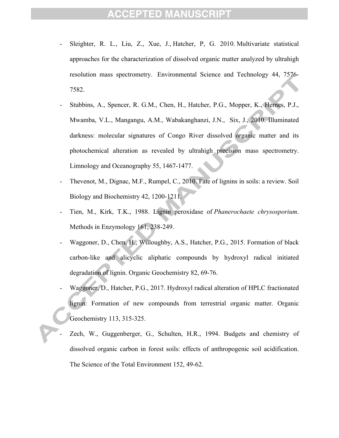- Sleighter, R. L., Liu, Z., Xue, J., Hatcher, P, G. 2010. Multivariate statistical approaches for the characterization of dissolved organic matter analyzed by ultrahigh resolution mass spectrometry. Environmental Science and Technology 44, 7576- 7582.
- Stubbins, A., Spencer, R. G.M., Chen, H., Hatcher, P.G., Mopper, K., Hernes, P.J., Mwamba, V.L., Mangangu, A.M., Wabakanghanzi, J.N., Six, J., 2010. Illuminated darkness: molecular signatures of Congo River dissolved organic matter and its photochemical alteration as revealed by ultrahigh precision mass spectrometry. Limnology and Oceanography 55, 1467-1477.
- Thevenot, M., Dignac, M.F., Rumpel, C., 2010. Fate of lignins in soils: a review. Soil Biology and Biochemistry 42, 1200-1211.
- Tien, M., Kirk, T.K., 1988. Lignin peroxidase of *Phanerochaete chrysosporium*. [Methods in Enzymology](https://www.sciencedirect.com/science/journal/00766879) [161,](https://www.sciencedirect.com/science/journal/00766879/161/supp/C) 238-249.
- Waggoner, D., Chen, H., Willoughby, A.S., Hatcher, P.G., 2015. Formation of black carbon-like and alicyclic aliphatic compounds by hydroxyl radical initiated degradation of lignin. Organic Geochemistry 82, 69-76.
- Waggoner, D., Hatcher, P.G., 2017. Hydroxyl radical alteration of HPLC fractionated [lignin: Formation of new compounds from terrestrial organic matter.](https://www.researchgate.net/publication/318707287_Hydroxyl_radical_alteration_of_HPLC_fractionated_lignin_Formation_of_new_compounds_from_terrestrial_organic_matter) [Organic](https://www.sciencedirect.com/science/journal/01466380)  [Geochemistry](https://www.sciencedirect.com/science/journal/01466380) [113](https://www.sciencedirect.com/science/journal/01466380/113/supp/C), 315-325.
	- Zech, W., Guggenberger, G., Schulten, H.R., 1994. Budgets and chemistry of dissolved organic carbon in forest soils: effects of anthropogenic soil acidification. The Science of the Total Environment 152, 49-62.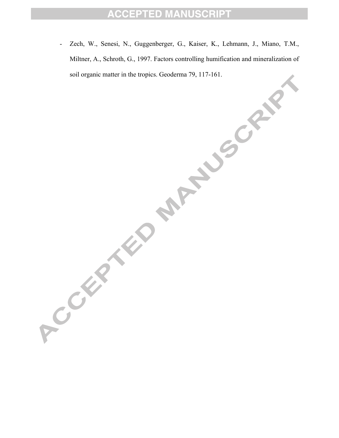- [Zech,](https://www.sciencedirect.com/science/article/pii/S0016706197000402#!) W., Senesi, N., Guggenberger, G., Kaiser, K., Lehmann, J., Miano, T.M., Miltner, A., Schroth, G., 1997. Factors controlling humification and mineralization of soil organic matter in the tropics. [Geoderma](https://www.sciencedirect.com/science/journal/00167061) [79, 1](https://www.sciencedirect.com/science/journal/00167061/79/1)17-161.<br>Control of the state of the state of the state of the state of the state of the state of the state of the state of the state of the state of the state of the state